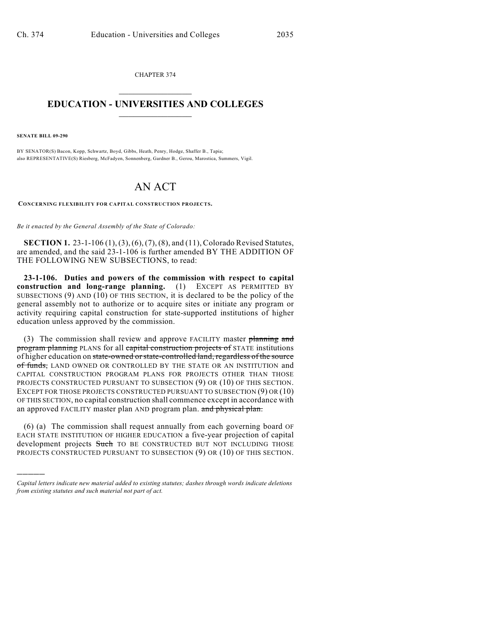CHAPTER 374  $\mathcal{L}_\text{max}$  . The set of the set of the set of the set of the set of the set of the set of the set of the set of the set of the set of the set of the set of the set of the set of the set of the set of the set of the set

## **EDUCATION - UNIVERSITIES AND COLLEGES**  $\frac{1}{2}$  ,  $\frac{1}{2}$  ,  $\frac{1}{2}$  ,  $\frac{1}{2}$  ,  $\frac{1}{2}$  ,  $\frac{1}{2}$  ,  $\frac{1}{2}$

**SENATE BILL 09-290**

)))))

BY SENATOR(S) Bacon, Kopp, Schwartz, Boyd, Gibbs, Heath, Penry, Hodge, Shaffer B., Tapia; also REPRESENTATIVE(S) Riesberg, McFadyen, Sonnenberg, Gardner B., Gerou, Marostica, Summers, Vigil.

## AN ACT

**CONCERNING FLEXIBILITY FOR CAPITAL CONSTRUCTION PROJECTS.**

*Be it enacted by the General Assembly of the State of Colorado:*

**SECTION 1.** 23-1-106 (1), (3), (6), (7), (8), and (11), Colorado Revised Statutes, are amended, and the said 23-1-106 is further amended BY THE ADDITION OF THE FOLLOWING NEW SUBSECTIONS, to read:

**23-1-106. Duties and powers of the commission with respect to capital construction and long-range planning.** (1) EXCEPT AS PERMITTED BY SUBSECTIONS  $(9)$  AND  $(10)$  OF THIS SECTION, it is declared to be the policy of the general assembly not to authorize or to acquire sites or initiate any program or activity requiring capital construction for state-supported institutions of higher education unless approved by the commission.

(3) The commission shall review and approve FACILITY master planning and program planning PLANS for all capital construction projects of STATE institutions of higher education on state-owned or state-controlled land, regardless of the source of funds, LAND OWNED OR CONTROLLED BY THE STATE OR AN INSTITUTION and CAPITAL CONSTRUCTION PROGRAM PLANS FOR PROJECTS OTHER THAN THOSE PROJECTS CONSTRUCTED PURSUANT TO SUBSECTION (9) OR (10) OF THIS SECTION. EXCEPT FOR THOSE PROJECTS CONSTRUCTED PURSUANT TO SUBSECTION (9) OR (10) OF THIS SECTION, no capital construction shall commence except in accordance with an approved FACILITY master plan AND program plan. and physical plan.

(6) (a) The commission shall request annually from each governing board OF EACH STATE INSTITUTION OF HIGHER EDUCATION a five-year projection of capital development projects Such TO BE CONSTRUCTED BUT NOT INCLUDING THOSE PROJECTS CONSTRUCTED PURSUANT TO SUBSECTION (9) OR (10) OF THIS SECTION.

*Capital letters indicate new material added to existing statutes; dashes through words indicate deletions from existing statutes and such material not part of act.*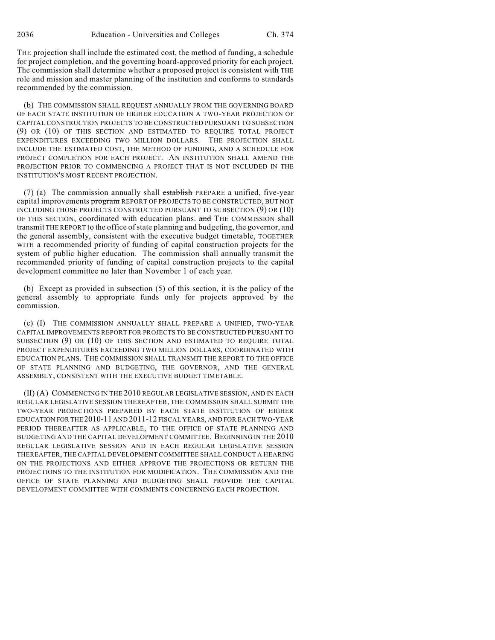THE projection shall include the estimated cost, the method of funding, a schedule for project completion, and the governing board-approved priority for each project. The commission shall determine whether a proposed project is consistent with THE role and mission and master planning of the institution and conforms to standards recommended by the commission.

(b) THE COMMISSION SHALL REQUEST ANNUALLY FROM THE GOVERNING BOARD OF EACH STATE INSTITUTION OF HIGHER EDUCATION A TWO-YEAR PROJECTION OF CAPITAL CONSTRUCTION PROJECTS TO BE CONSTRUCTED PURSUANT TO SUBSECTION (9) OR (10) OF THIS SECTION AND ESTIMATED TO REQUIRE TOTAL PROJECT EXPENDITURES EXCEEDING TWO MILLION DOLLARS. THE PROJECTION SHALL INCLUDE THE ESTIMATED COST, THE METHOD OF FUNDING, AND A SCHEDULE FOR PROJECT COMPLETION FOR EACH PROJECT. AN INSTITUTION SHALL AMEND THE PROJECTION PRIOR TO COMMENCING A PROJECT THAT IS NOT INCLUDED IN THE INSTITUTION'S MOST RECENT PROJECTION.

(7) (a) The commission annually shall establish PREPARE a unified, five-year capital improvements program REPORT OF PROJECTS TO BE CONSTRUCTED, BUT NOT INCLUDING THOSE PROJECTS CONSTRUCTED PURSUANT TO SUBSECTION (9) OR (10) OF THIS SECTION, coordinated with education plans. and THE COMMISSION shall transmit THE REPORT to the office of state planning and budgeting, the governor, and the general assembly, consistent with the executive budget timetable, TOGETHER WITH a recommended priority of funding of capital construction projects for the system of public higher education. The commission shall annually transmit the recommended priority of funding of capital construction projects to the capital development committee no later than November 1 of each year.

(b) Except as provided in subsection (5) of this section, it is the policy of the general assembly to appropriate funds only for projects approved by the commission.

(c) (I) THE COMMISSION ANNUALLY SHALL PREPARE A UNIFIED, TWO-YEAR CAPITAL IMPROVEMENTS REPORT FOR PROJECTS TO BE CONSTRUCTED PURSUANT TO SUBSECTION (9) OR (10) OF THIS SECTION AND ESTIMATED TO REQUIRE TOTAL PROJECT EXPENDITURES EXCEEDING TWO MILLION DOLLARS, COORDINATED WITH EDUCATION PLANS. THE COMMISSION SHALL TRANSMIT THE REPORT TO THE OFFICE OF STATE PLANNING AND BUDGETING, THE GOVERNOR, AND THE GENERAL ASSEMBLY, CONSISTENT WITH THE EXECUTIVE BUDGET TIMETABLE.

(II) (A) COMMENCING IN THE 2010 REGULAR LEGISLATIVE SESSION, AND IN EACH REGULAR LEGISLATIVE SESSION THEREAFTER, THE COMMISSION SHALL SUBMIT THE TWO-YEAR PROJECTIONS PREPARED BY EACH STATE INSTITUTION OF HIGHER EDUCATION FOR THE 2010-11 AND 2011-12 FISCAL YEARS, AND FOR EACH TWO-YEAR PERIOD THEREAFTER AS APPLICABLE, TO THE OFFICE OF STATE PLANNING AND BUDGETING AND THE CAPITAL DEVELOPMENT COMMITTEE. BEGINNING IN THE 2010 REGULAR LEGISLATIVE SESSION AND IN EACH REGULAR LEGISLATIVE SESSION THEREAFTER, THE CAPITAL DEVELOPMENT COMMITTEE SHALL CONDUCT A HEARING ON THE PROJECTIONS AND EITHER APPROVE THE PROJECTIONS OR RETURN THE PROJECTIONS TO THE INSTITUTION FOR MODIFICATION. THE COMMISSION AND THE OFFICE OF STATE PLANNING AND BUDGETING SHALL PROVIDE THE CAPITAL DEVELOPMENT COMMITTEE WITH COMMENTS CONCERNING EACH PROJECTION.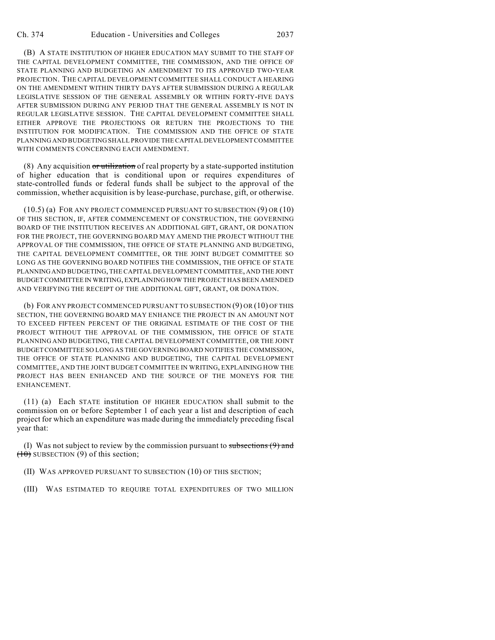(B) A STATE INSTITUTION OF HIGHER EDUCATION MAY SUBMIT TO THE STAFF OF THE CAPITAL DEVELOPMENT COMMITTEE, THE COMMISSION, AND THE OFFICE OF STATE PLANNING AND BUDGETING AN AMENDMENT TO ITS APPROVED TWO-YEAR PROJECTION. THE CAPITAL DEVELOPMENT COMMITTEE SHALL CONDUCT A HEARING ON THE AMENDMENT WITHIN THIRTY DAYS AFTER SUBMISSION DURING A REGULAR LEGISLATIVE SESSION OF THE GENERAL ASSEMBLY OR WITHIN FORTY-FIVE DAYS AFTER SUBMISSION DURING ANY PERIOD THAT THE GENERAL ASSEMBLY IS NOT IN REGULAR LEGISLATIVE SESSION. THE CAPITAL DEVELOPMENT COMMITTEE SHALL EITHER APPROVE THE PROJECTIONS OR RETURN THE PROJECTIONS TO THE INSTITUTION FOR MODIFICATION. THE COMMISSION AND THE OFFICE OF STATE PLANNING AND BUDGETING SHALL PROVIDE THE CAPITAL DEVELOPMENT COMMITTEE WITH COMMENTS CONCERNING EACH AMENDMENT.

(8) Any acquisition or utilization of real property by a state-supported institution of higher education that is conditional upon or requires expenditures of state-controlled funds or federal funds shall be subject to the approval of the commission, whether acquisition is by lease-purchase, purchase, gift, or otherwise.

(10.5) (a) FOR ANY PROJECT COMMENCED PURSUANT TO SUBSECTION (9) OR (10) OF THIS SECTION, IF, AFTER COMMENCEMENT OF CONSTRUCTION, THE GOVERNING BOARD OF THE INSTITUTION RECEIVES AN ADDITIONAL GIFT, GRANT, OR DONATION FOR THE PROJECT, THE GOVERNING BOARD MAY AMEND THE PROJECT WITHOUT THE APPROVAL OF THE COMMISSION, THE OFFICE OF STATE PLANNING AND BUDGETING, THE CAPITAL DEVELOPMENT COMMITTEE, OR THE JOINT BUDGET COMMITTEE SO LONG AS THE GOVERNING BOARD NOTIFIES THE COMMISSION, THE OFFICE OF STATE PLANNING AND BUDGETING, THE CAPITAL DEVELOPMENT COMMITTEE, AND THE JOINT BUDGET COMMITTEE IN WRITING, EXPLAINING HOW THE PROJECT HAS BEEN AMENDED AND VERIFYING THE RECEIPT OF THE ADDITIONAL GIFT, GRANT, OR DONATION.

(b) FOR ANY PROJECT COMMENCED PURSUANT TO SUBSECTION (9) OR (10) OF THIS SECTION, THE GOVERNING BOARD MAY ENHANCE THE PROJECT IN AN AMOUNT NOT TO EXCEED FIFTEEN PERCENT OF THE ORIGINAL ESTIMATE OF THE COST OF THE PROJECT WITHOUT THE APPROVAL OF THE COMMISSION, THE OFFICE OF STATE PLANNING AND BUDGETING, THE CAPITAL DEVELOPMENT COMMITTEE, OR THE JOINT BUDGET COMMITTEE SO LONG AS THE GOVERNING BOARD NOTIFIES THE COMMISSION, THE OFFICE OF STATE PLANNING AND BUDGETING, THE CAPITAL DEVELOPMENT COMMITTEE, AND THE JOINT BUDGET COMMITTEE IN WRITING, EXPLAINING HOW THE PROJECT HAS BEEN ENHANCED AND THE SOURCE OF THE MONEYS FOR THE ENHANCEMENT.

(11) (a) Each STATE institution OF HIGHER EDUCATION shall submit to the commission on or before September 1 of each year a list and description of each project for which an expenditure was made during the immediately preceding fiscal year that:

(I) Was not subject to review by the commission pursuant to subsections  $(9)$  and  $(10)$  SUBSECTION (9) of this section;

- (II) WAS APPROVED PURSUANT TO SUBSECTION (10) OF THIS SECTION;
- (III) WAS ESTIMATED TO REQUIRE TOTAL EXPENDITURES OF TWO MILLION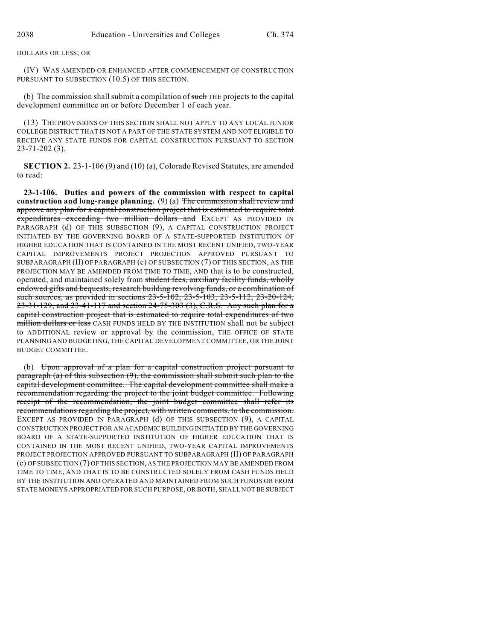## DOLLARS OR LESS; OR

(IV) WAS AMENDED OR ENHANCED AFTER COMMENCEMENT OF CONSTRUCTION PURSUANT TO SUBSECTION  $(10.5)$  OF THIS SECTION.

(b) The commission shall submit a compilation of such THE projects to the capital development committee on or before December 1 of each year.

(13) THE PROVISIONS OF THIS SECTION SHALL NOT APPLY TO ANY LOCAL JUNIOR COLLEGE DISTRICT THAT IS NOT A PART OF THE STATE SYSTEM AND NOT ELIGIBLE TO RECEIVE ANY STATE FUNDS FOR CAPITAL CONSTRUCTION PURSUANT TO SECTION 23-71-202 (3).

**SECTION 2.** 23-1-106 (9) and (10) (a), Colorado Revised Statutes, are amended to read:

**23-1-106. Duties and powers of the commission with respect to capital construction and long-range planning.** (9) (a) The commission shall review and approve any plan for a capital construction project that is estimated to require total expenditures exceeding two million dollars and EXCEPT AS PROVIDED IN PARAGRAPH (d) OF THIS SUBSECTION (9), A CAPITAL CONSTRUCTION PROJECT INITIATED BY THE GOVERNING BOARD OF A STATE-SUPPORTED INSTITUTION OF HIGHER EDUCATION THAT IS CONTAINED IN THE MOST RECENT UNIFIED, TWO-YEAR CAPITAL IMPROVEMENTS PROJECT PROJECTION APPROVED PURSUANT TO SUBPARAGRAPH (II) OF PARAGRAPH (c) OF SUBSECTION (7) OF THIS SECTION, AS THE PROJECTION MAY BE AMENDED FROM TIME TO TIME, AND that is to be constructed, operated, and maintained solely from student fees, auxiliary facility funds, wholly endowed gifts and bequests, research building revolving funds, or a combination of such sources, as provided in sections 23-5-102, 23-5-103, 23-5-112, 23-20-124, 23-31-129, and 23-41-117 and section 24-75-303 (3), C.R.S. Any such plan for a capital construction project that is estimated to require total expenditures of two million dollars or less CASH FUNDS HELD BY THE INSTITUTION shall not be subject to ADDITIONAL review or approval by the commission, THE OFFICE OF STATE PLANNING AND BUDGETING, THE CAPITAL DEVELOPMENT COMMITTEE, OR THE JOINT BUDGET COMMITTEE.

(b) Upon approval of a plan for a capital construction project pursuant to paragraph (a) of this subsection (9), the commission shall submit such plan to the capital development committee. The capital development committee shall make a recommendation regarding the project to the joint budget committee. Following receipt of the recommendation, the joint budget committee shall refer its recommendations regarding the project, with written comments, to the commission. EXCEPT AS PROVIDED IN PARAGRAPH (d) OF THIS SUBSECTION (9), A CAPITAL CONSTRUCTION PROJECT FOR AN ACADEMIC BUILDING INITIATED BY THE GOVERNING BOARD OF A STATE-SUPPORTED INSTITUTION OF HIGHER EDUCATION THAT IS CONTAINED IN THE MOST RECENT UNIFIED, TWO-YEAR CAPITAL IMPROVEMENTS PROJECT PROJECTION APPROVED PURSUANT TO SUBPARAGRAPH (II) OF PARAGRAPH (c) OF SUBSECTION (7) OF THIS SECTION, AS THE PROJECTION MAY BE AMENDED FROM TIME TO TIME, AND THAT IS TO BE CONSTRUCTED SOLELY FROM CASH FUNDS HELD BY THE INSTITUTION AND OPERATED AND MAINTAINED FROM SUCH FUNDS OR FROM STATE MONEYS APPROPRIATED FOR SUCH PURPOSE, OR BOTH, SHALL NOT BE SUBJECT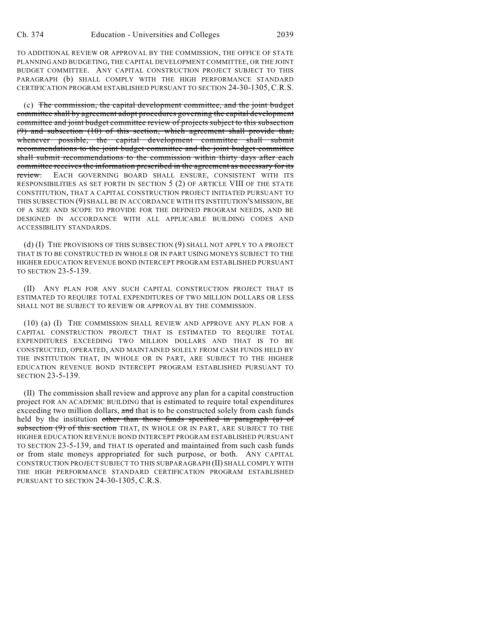TO ADDITIONAL REVIEW OR APPROVAL BY THE COMMISSION, THE OFFICE OF STATE PLANNING AND BUDGETING, THE CAPITAL DEVELOPMENT COMMITTEE, OR THE JOINT BUDGET COMMITTEE. ANY CAPITAL CONSTRUCTION PROJECT SUBJECT TO THIS PARAGRAPH (b) SHALL COMPLY WITH THE HIGH PERFORMANCE STANDARD CERTIFICATION PROGRAM ESTABLISHED PURSUANT TO SECTION 24-30-1305, C.R.S.

(c) The commission, the capital development committee, and the joint budget committee shall by agreement adopt procedures governing the capital development committee and joint budget committee review of projects subject to this subsection (9) and subsection (10) of this section, which agreement shall provide that, whenever possible, the capital development committee shall submit recommendations to the joint budget committee and the joint budget committee shall submit recommendations to the commission within thirty days after each committee receives the information prescribed in the agreement as necessary for its review. EACH GOVERNING BOARD SHALL ENSURE, CONSISTENT WITH ITS RESPONSIBILITIES AS SET FORTH IN SECTION 5 (2) OF ARTICLE VIII OF THE STATE CONSTITUTION, THAT A CAPITAL CONSTRUCTION PROJECT INITIATED PURSUANT TO THIS SUBSECTION (9) SHALL BE IN ACCORDANCE WITH ITS INSTITUTION'S MISSION, BE OF A SIZE AND SCOPE TO PROVIDE FOR THE DEFINED PROGRAM NEEDS, AND BE DESIGNED IN ACCORDANCE WITH ALL APPLICABLE BUILDING CODES AND ACCESSIBILITY STANDARDS.

(d) (I) THE PROVISIONS OF THIS SUBSECTION (9) SHALL NOT APPLY TO A PROJECT THAT IS TO BE CONSTRUCTED IN WHOLE OR IN PART USING MONEYS SUBJECT TO THE HIGHER EDUCATION REVENUE BOND INTERCEPT PROGRAM ESTABLISHED PURSUANT TO SECTION 23-5-139.

(II) ANY PLAN FOR ANY SUCH CAPITAL CONSTRUCTION PROJECT THAT IS ESTIMATED TO REQUIRE TOTAL EXPENDITURES OF TWO MILLION DOLLARS OR LESS SHALL NOT BE SUBJECT TO REVIEW OR APPROVAL BY THE COMMISSION.

(10) (a) (I) THE COMMISSION SHALL REVIEW AND APPROVE ANY PLAN FOR A CAPITAL CONSTRUCTION PROJECT THAT IS ESTIMATED TO REQUIRE TOTAL EXPENDITURES EXCEEDING TWO MILLION DOLLARS AND THAT IS TO BE CONSTRUCTED, OPERATED, AND MAINTAINED SOLELY FROM CASH FUNDS HELD BY THE INSTITUTION THAT, IN WHOLE OR IN PART, ARE SUBJECT TO THE HIGHER EDUCATION REVENUE BOND INTERCEPT PROGRAM ESTABLISHED PURSUANT TO SECTION 23-5-139.

(II) The commission shall review and approve any plan for a capital construction project FOR AN ACADEMIC BUILDING that is estimated to require total expenditures exceeding two million dollars, and that is to be constructed solely from cash funds held by the institution other than those funds specified in paragraph (a) of subsection (9) of this section THAT, IN WHOLE OR IN PART, ARE SUBJECT TO THE HIGHER EDUCATION REVENUE BOND INTERCEPT PROGRAM ESTABLISHED PURSUANT TO SECTION 23-5-139, and THAT IS operated and maintained from such cash funds or from state moneys appropriated for such purpose, or both. ANY CAPITAL CONSTRUCTION PROJECT SUBJECT TO THIS SUBPARAGRAPH (II) SHALL COMPLY WITH THE HIGH PERFORMANCE STANDARD CERTIFICATION PROGRAM ESTABLISHED PURSUANT TO SECTION 24-30-1305, C.R.S.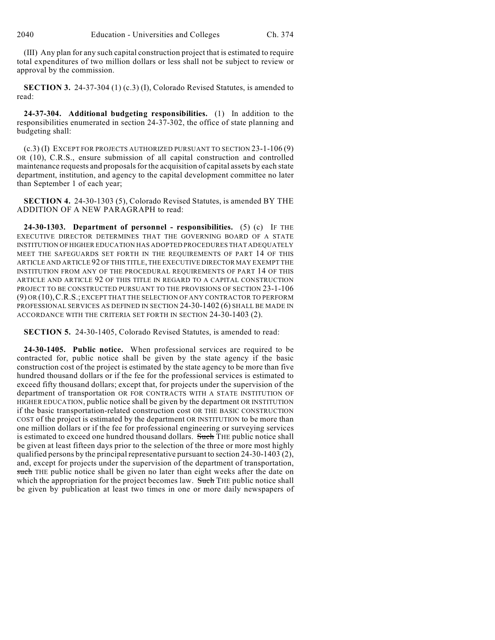(III) Any plan for any such capital construction project that is estimated to require total expenditures of two million dollars or less shall not be subject to review or approval by the commission.

**SECTION 3.** 24-37-304 (1) (c.3) (I), Colorado Revised Statutes, is amended to read:

**24-37-304. Additional budgeting responsibilities.** (1) In addition to the responsibilities enumerated in section 24-37-302, the office of state planning and budgeting shall:

(c.3) (I) EXCEPT FOR PROJECTS AUTHORIZED PURSUANT TO SECTION 23-1-106 (9) OR (10), C.R.S., ensure submission of all capital construction and controlled maintenance requests and proposals for the acquisition of capital assets by each state department, institution, and agency to the capital development committee no later than September 1 of each year;

**SECTION 4.** 24-30-1303 (5), Colorado Revised Statutes, is amended BY THE ADDITION OF A NEW PARAGRAPH to read:

**24-30-1303. Department of personnel - responsibilities.** (5) (c) IF THE EXECUTIVE DIRECTOR DETERMINES THAT THE GOVERNING BOARD OF A STATE INSTITUTION OF HIGHER EDUCATION HAS ADOPTED PROCEDURES THAT ADEQUATELY MEET THE SAFEGUARDS SET FORTH IN THE REQUIREMENTS OF PART 14 OF THIS ARTICLE AND ARTICLE 92 OF THIS TITLE, THE EXECUTIVE DIRECTOR MAY EXEMPT THE INSTITUTION FROM ANY OF THE PROCEDURAL REQUIREMENTS OF PART 14 OF THIS ARTICLE AND ARTICLE 92 OF THIS TITLE IN REGARD TO A CAPITAL CONSTRUCTION PROJECT TO BE CONSTRUCTED PURSUANT TO THE PROVISIONS OF SECTION 23-1-106 (9) OR (10),C.R.S.; EXCEPT THAT THE SELECTION OF ANY CONTRACTOR TO PERFORM PROFESSIONAL SERVICES AS DEFINED IN SECTION 24-30-1402 (6) SHALL BE MADE IN ACCORDANCE WITH THE CRITERIA SET FORTH IN SECTION 24-30-1403 (2).

**SECTION 5.** 24-30-1405, Colorado Revised Statutes, is amended to read:

**24-30-1405. Public notice.** When professional services are required to be contracted for, public notice shall be given by the state agency if the basic construction cost of the project is estimated by the state agency to be more than five hundred thousand dollars or if the fee for the professional services is estimated to exceed fifty thousand dollars; except that, for projects under the supervision of the department of transportation OR FOR CONTRACTS WITH A STATE INSTITUTION OF HIGHER EDUCATION, public notice shall be given by the department OR INSTITUTION if the basic transportation-related construction cost OR THE BASIC CONSTRUCTION COST of the project is estimated by the department OR INSTITUTION to be more than one million dollars or if the fee for professional engineering or surveying services is estimated to exceed one hundred thousand dollars. Such THE public notice shall be given at least fifteen days prior to the selection of the three or more most highly qualified persons by the principal representative pursuant to section 24-30-1403 (2), and, except for projects under the supervision of the department of transportation, such THE public notice shall be given no later than eight weeks after the date on which the appropriation for the project becomes law. Such THE public notice shall be given by publication at least two times in one or more daily newspapers of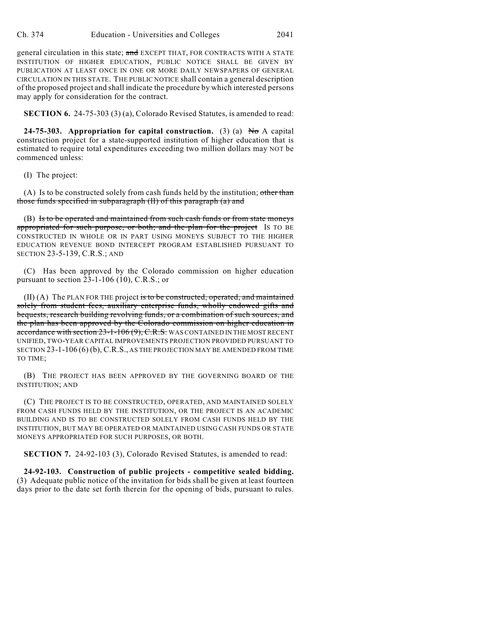general circulation in this state; and EXCEPT THAT, FOR CONTRACTS WITH A STATE INSTITUTION OF HIGHER EDUCATION, PUBLIC NOTICE SHALL BE GIVEN BY PUBLICATION AT LEAST ONCE IN ONE OR MORE DAILY NEWSPAPERS OF GENERAL CIRCULATION IN THIS STATE. THE PUBLIC NOTICE shall contain a general description of the proposed project and shall indicate the procedure by which interested persons may apply for consideration for the contract.

**SECTION 6.** 24-75-303 (3) (a), Colorado Revised Statutes, is amended to read:

**24-75-303.** Appropriation for capital construction. (3) (a)  $N\sigma$  A capital construction project for a state-supported institution of higher education that is estimated to require total expenditures exceeding two million dollars may NOT be commenced unless:

(I) The project:

 $(A)$  Is to be constructed solely from cash funds held by the institution; other than those funds specified in subparagraph (II) of this paragraph (a) and

(B) Is to be operated and maintained from such cash funds or from state moneys appropriated for such purpose, or both; and the plan for the project IS TO BE CONSTRUCTED IN WHOLE OR IN PART USING MONEYS SUBJECT TO THE HIGHER EDUCATION REVENUE BOND INTERCEPT PROGRAM ESTABLISHED PURSUANT TO SECTION 23-5-139, C.R.S.; AND

(C) Has been approved by the Colorado commission on higher education pursuant to section 23-1-106 (10), C.R.S.; or

 $(II)$  (A) The PLAN FOR THE project is to be constructed, operated, and maintained solely from student fees, auxiliary enterprise funds, wholly endowed gifts and bequests, research building revolving funds, or a combination of such sources, and the plan has been approved by the Colorado commission on higher education in accordance with section  $23$ -1-106 (9), C.R.S. WAS CONTAINED IN THE MOST RECENT UNIFIED, TWO-YEAR CAPITAL IMPROVEMENTS PROJECTION PROVIDED PURSUANT TO SECTION 23-1-106 (6) (b), C.R.S., AS THE PROJECTION MAY BE AMENDED FROM TIME TO TIME;

(B) THE PROJECT HAS BEEN APPROVED BY THE GOVERNING BOARD OF THE INSTITUTION; AND

(C) THE PROJECT IS TO BE CONSTRUCTED, OPERATED, AND MAINTAINED SOLELY FROM CASH FUNDS HELD BY THE INSTITUTION, OR THE PROJECT IS AN ACADEMIC BUILDING AND IS TO BE CONSTRUCTED SOLELY FROM CASH FUNDS HELD BY THE INSTITUTION, BUT MAY BE OPERATED OR MAINTAINED USING CASH FUNDS OR STATE MONEYS APPROPRIATED FOR SUCH PURPOSES, OR BOTH.

**SECTION 7.** 24-92-103 (3), Colorado Revised Statutes, is amended to read:

**24-92-103. Construction of public projects - competitive sealed bidding.** (3) Adequate public notice of the invitation for bids shall be given at least fourteen days prior to the date set forth therein for the opening of bids, pursuant to rules.